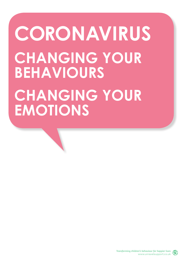## **CORONAVIRUS CHANGING YOUR BEHAVIOURS CHANGING YOUR EMOTIONS**

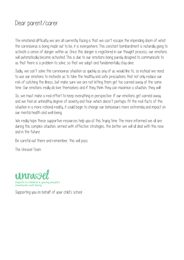## Dear parent/carer

The emotional difficulty we are all currently facing is that we can't escape the impending doom of what the coronavirus is being made out to be; it is everywhere. This constant bombardment is naturally going to activate a sense of danger within us. Once this danger is registered in our thought process, our emotions will automatically become activated. This is due to our emotions being purely designed to communicate to us that there is a problem to solve, so that we adapt and fundamentally stay alive.

Sadly, we can't solve the coronavirus situation as quickly as any of us would like to, so instead we need to use our emotions to motivate us to take the healthy and safe precautions that not only reduce our risk of catching the illness, but make sure we are not letting them get too carried away at the same time. Our emotions really do love themselves and if they think they can maximise a situation, they will

So, we must make a real effort to keep everything in perspective. If our emotions get carried away and we feel an unhealthy degree of anxiety and fear which doesn't perhaps fit the real facts of this situation in a more rational reality, it could begin to change our behaviours more extremely and impact on our mental health and well-being.

We really hope these supportive resources help you at this trying time. The more informed we all are during this complex situation, armed with effective strategies, the better we will all deal with this now and in the future.

Be careful out there and remember, this will pass.

The Unravel Team



Supporting you on behalf of your child's school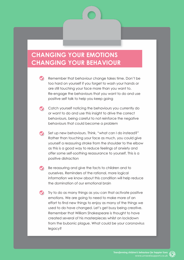## **CHANGING YOUR EMOTIONS CHANGING YOUR BEHAVIOUR**

- Remember that behaviour change takes time. Don't be too hard on yourself if you forget to wash your hands or are still touching your face more than you want to. Re-engage the behaviours that you want to do and use positive self talk to help you keep going
- Catch yourself noticing the behaviours you currently do or want to do and use this insight to drive the correct behaviours, being careful to not reinforce the negative behaviours that could become a problem
- Set up new behaviours. Think, "what can I do instead?" Rather than touching your face as much, you could give yourself a reassuring stroke from the shoulder to the elbow as this is a good way to reduce feelings of anxiety and offer some self-soothing reassurance to yourself. This is a positive distraction
- Be reassuring and give the facts to children and to ourselves. Reminders of the rational, more logical information we know about this condition will help reduce the domination of our emotional brain
- $\blacktriangledown$  Try to do as many things as you can that activate positive emotions. We are going to need to make more of an effort to find new things to enjoy as many of the things we used to do have changed. Let's get busy being creative. Remember that William Shakespeare is thought to have created several of his masterpieces whilst on lockdown from the bubonic plague. What could be your coronavirus legacy?